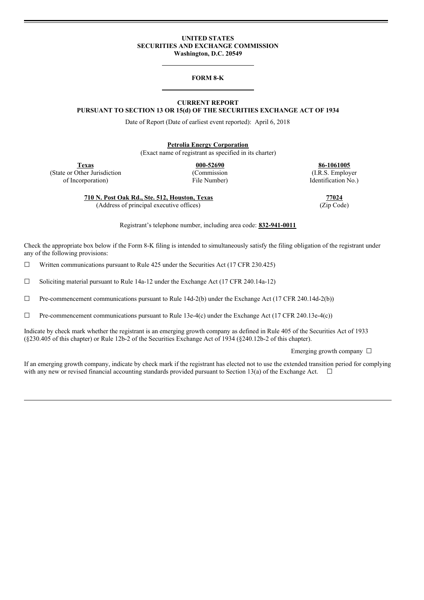#### **UNITED STATES SECURITIES AND EXCHANGE COMMISSION Washington, D.C. 20549**

#### **FORM 8-K**

# **CURRENT REPORT**

**PURSUANT TO SECTION 13 OR 15(d) OF THE SECURITIES EXCHANGE ACT OF 1934**

Date of Report (Date of earliest event reported): April 6, 2018

**Petrolia Energy Corporation**

(Exact name of registrant as specified in its charter)

**Texas 000-52690 86-1061005** (State or Other Jurisdiction (Commission (I.R.S. Employer

of Incorporation) File Number) Identification No.)

**710 N. Post Oak Rd., Ste. 512, Houston, Texas 77024** (Address of principal executive offices) (Zip Code)

Registrant's telephone number, including area code: **832-941-0011**

Check the appropriate box below if the Form 8-K filing is intended to simultaneously satisfy the filing obligation of the registrant under any of the following provisions:

 $\Box$  Written communications pursuant to Rule 425 under the Securities Act (17 CFR 230.425)

 $\Box$  Soliciting material pursuant to Rule 14a-12 under the Exchange Act (17 CFR 240.14a-12)

☐ Pre-commencement communications pursuant to Rule 14d-2(b) under the Exchange Act (17 CFR 240.14d-2(b))

☐ Pre-commencement communications pursuant to Rule 13e-4(c) under the Exchange Act (17 CFR 240.13e-4(c))

Indicate by check mark whether the registrant is an emerging growth company as defined in Rule 405 of the Securities Act of 1933 (§230.405 of this chapter) or Rule 12b-2 of the Securities Exchange Act of 1934 (§240.12b-2 of this chapter).

Emerging growth company  $\Box$ 

If an emerging growth company, indicate by check mark if the registrant has elected not to use the extended transition period for complying with any new or revised financial accounting standards provided pursuant to Section 13(a) of the Exchange Act.  $\Box$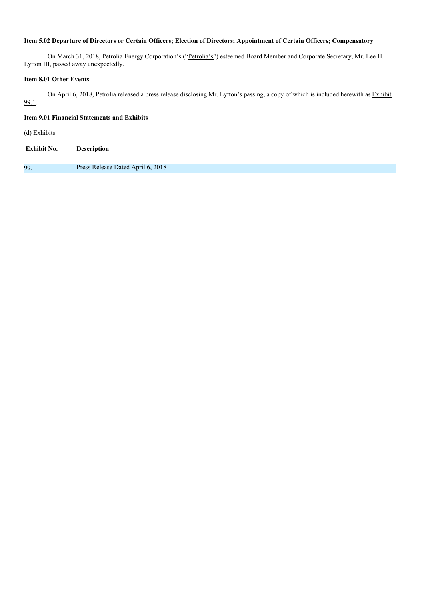# Item 5.02 Departure of Directors or Certain Officers; Election of Directors; Appointment of Certain Officers; Compensatory

On March 31, 2018, Petrolia Energy Corporation's ("Petrolia's") esteemed Board Member and Corporate Secretary, Mr. Lee H. Lytton III, passed away unexpectedly.

### **Item 8.01 Other Events**

On April 6, 2018, Petrolia released a press release disclosing Mr. Lytton's passing, a copy of which is included herewith as Exhibit 99.1.

# **Item 9.01 Financial Statements and Exhibits**

(d) Exhibits

| <b>Exhibit No.</b> | <b>Description</b>                |
|--------------------|-----------------------------------|
|                    |                                   |
| 99.1               | Press Release Dated April 6, 2018 |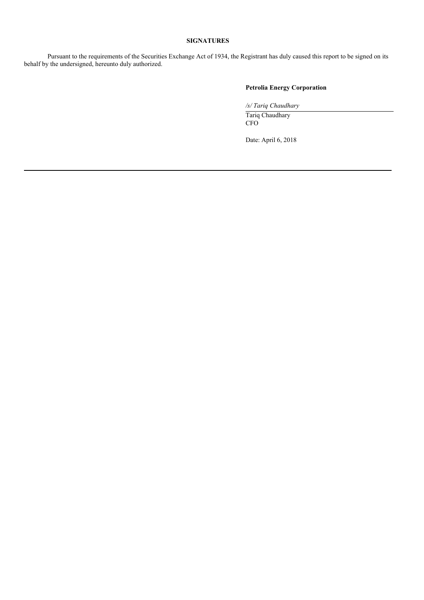### **SIGNATURES**

Pursuant to the requirements of the Securities Exchange Act of 1934, the Registrant has duly caused this report to be signed on its behalf by the undersigned, hereunto duly authorized.

### **Petrolia Energy Corporation**

*/s/ Tariq Chaudhary*

Tariq Chaudhary CFO

Date: April 6, 2018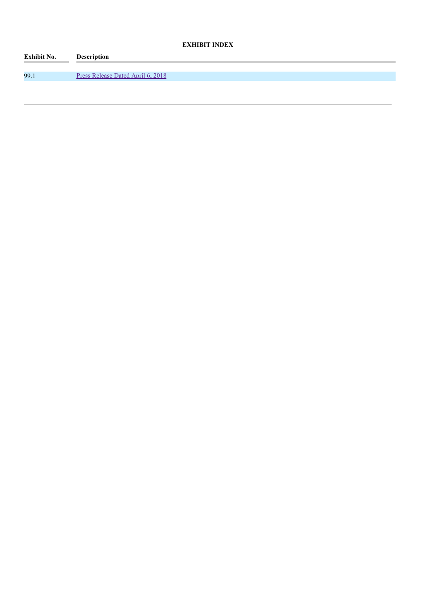# **EXHIBIT INDEX**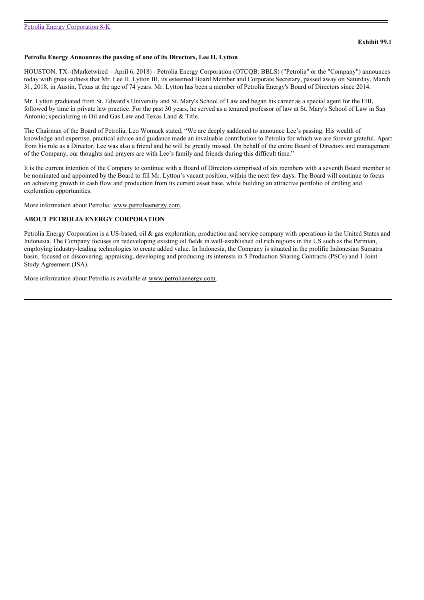#### **Petrolia Energy Announces the passing of one of its Directors, Lee H. Lytton**

HOUSTON, TX--(Marketwired – April 6, 2018) - Petrolia Energy Corporation (OTCQB: BBLS) ("Petrolia" or the "Company") announces today with great sadness that Mr. Lee H. Lytton III, its esteemed Board Member and Corporate Secretary, passed away on Saturday, March 31, 2018, in Austin, Texas at the age of 74 years. Mr. Lytton has been a member of Petrolia Energy's Board of Directors since 2014.

Mr. Lytton graduated from St. Edward's University and St. Mary's School of Law and began his career as a special agent for the FBI, followed by time in private law practice. For the past 30 years, he served as a tenured professor of law at St. Mary's School of Law in San Antonio; specializing in Oil and Gas Law and Texas Land & Title.

The Chairman of the Board of Petrolia, Leo Womack stated, "We are deeply saddened to announce Lee's passing. His wealth of knowledge and expertise, practical advice and guidance made an invaluable contribution to Petrolia for which we are forever grateful. Apart from his role as a Director, Lee was also a friend and he will be greatly missed. On behalf of the entire Board of Directors and management of the Company, our thoughts and prayers are with Lee's family and friends during this difficult time."

It is the current intention of the Company to continue with a Board of Directors comprised of six members with a seventh Board member to be nominated and appointed by the Board to fill Mr. Lytton's vacant position, within the next few days. The Board will continue to focus on achieving growth in cash flow and production from its current asset base, while building an attractive portfolio of drilling and exploration opportunities.

More information about Petrolia: www.petroliaenergy.com.

#### **ABOUT PETROLIA ENERGY CORPORATION**

Petrolia Energy Corporation is a US-based, oil & gas exploration, production and service company with operations in the United States and Indonesia. The Company focuses on redeveloping existing oil fields in well-established oil rich regions in the US such as the Permian, employing industry-leading technologies to create added value. In Indonesia, the Company is situated in the prolific Indonesian Sumatra basin, focused on discovering, appraising, developing and producing its interests in 5 Production Sharing Contracts (PSCs) and 1 Joint Study Agreement (JSA).

More information about Petrolia is available at www.petroliaenergy.com.